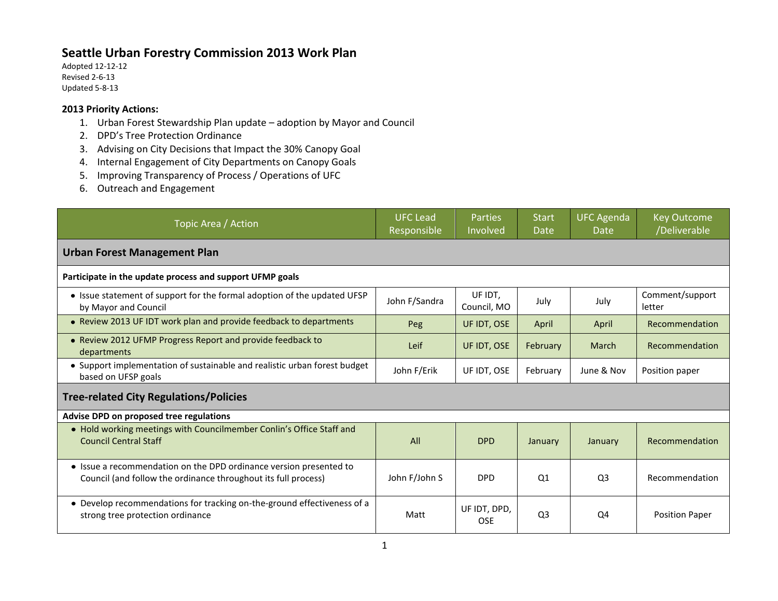## **Seattle Urban Forestry Commission 2013 Work Plan**

Adopted 12-12-12 Revised 2-6-13 Updated 5-8-13

## **2013 Priority Actions:**

- 1. Urban Forest Stewardship Plan update adoption by Mayor and Council
- 2. DPD's Tree Protection Ordinance
- 3. Advising on City Decisions that Impact the 30% Canopy Goal
- 4. Internal Engagement of City Departments on Canopy Goals
- 5. Improving Transparency of Process / Operations of UFC
- 6. Outreach and Engagement

| Topic Area / Action                                                                                                                  | UFC Lead<br>Responsible | <b>Parties</b><br>Involved | <b>Start</b><br>Date | <b>UFC Agenda</b><br>Date | <b>Key Outcome</b><br>/Deliverable |  |  |  |  |
|--------------------------------------------------------------------------------------------------------------------------------------|-------------------------|----------------------------|----------------------|---------------------------|------------------------------------|--|--|--|--|
| <b>Urban Forest Management Plan</b>                                                                                                  |                         |                            |                      |                           |                                    |  |  |  |  |
| Participate in the update process and support UFMP goals                                                                             |                         |                            |                      |                           |                                    |  |  |  |  |
| • Issue statement of support for the formal adoption of the updated UFSP<br>by Mayor and Council                                     | John F/Sandra           | UF IDT.<br>Council, MO     | July                 | July                      | Comment/support<br>letter          |  |  |  |  |
| • Review 2013 UF IDT work plan and provide feedback to departments                                                                   | Peg                     | UF IDT, OSE                | April                | April                     | Recommendation                     |  |  |  |  |
| • Review 2012 UFMP Progress Report and provide feedback to<br>departments                                                            | Leif                    | UF IDT, OSE                | February             | March                     | Recommendation                     |  |  |  |  |
| • Support implementation of sustainable and realistic urban forest budget<br>based on UFSP goals                                     | John F/Erik             | UF IDT, OSE                | February             | June & Nov                | Position paper                     |  |  |  |  |
| <b>Tree-related City Regulations/Policies</b>                                                                                        |                         |                            |                      |                           |                                    |  |  |  |  |
| Advise DPD on proposed tree regulations                                                                                              |                         |                            |                      |                           |                                    |  |  |  |  |
| • Hold working meetings with Councilmember Conlin's Office Staff and<br><b>Council Central Staff</b>                                 | All                     | <b>DPD</b>                 | January              | January                   | Recommendation                     |  |  |  |  |
| • Issue a recommendation on the DPD ordinance version presented to<br>Council (and follow the ordinance throughout its full process) | John F/John S           | <b>DPD</b>                 | Q <sub>1</sub>       | Q <sub>3</sub>            | Recommendation                     |  |  |  |  |
| • Develop recommendations for tracking on-the-ground effectiveness of a<br>strong tree protection ordinance                          | Matt                    | UF IDT, DPD,<br><b>OSE</b> | Q <sub>3</sub>       | Q4                        | <b>Position Paper</b>              |  |  |  |  |